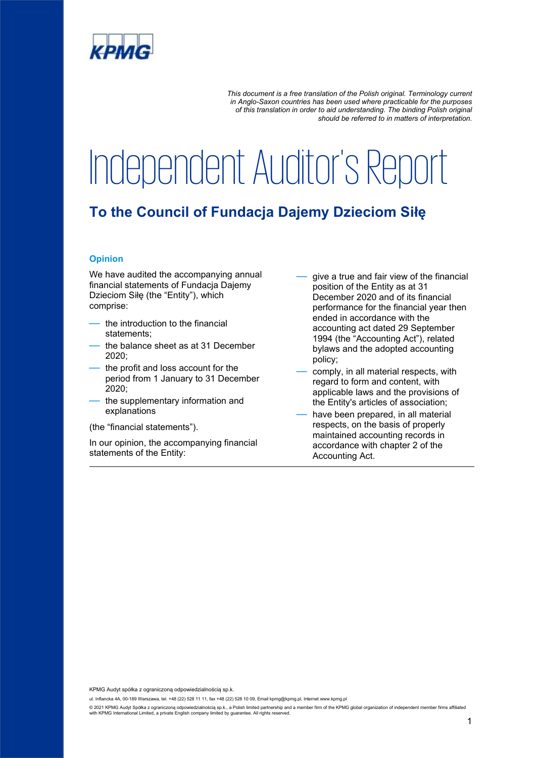

*This document is a free translation of the Polish original. Terminology current in Anglo-Saxon countries has been used where practicable for the purposes of this translation in order to aid understanding. The binding Polish original should be referred to in matters of interpretation.*

# Independent Auditor's Report

## **To the Council of Fundacja Dajemy Dzieciom Siłę**

### **Opinion**

We have audited the accompanying annual financial statements of Fundacja Dajemy Dzieciom Siłę (the "Entity"), which comprise:

- the introduction to the financial statements;
- the balance sheet as at 31 December 2020;
- the profit and loss account for the period from 1 January to 31 December 2020;
- the supplementary information and explanations
- (the "financial statements").

In our opinion, the accompanying financial statements of the Entity:

- give a true and fair view of the financial position of the Entity as at 31 December 2020 and of its financial performance for the financial year then ended in accordance with the accounting act dated 29 September 1994 (the "Accounting Act"), related bylaws and the adopted accounting policy;
- comply, in all material respects, with regard to form and content, with applicable laws and the provisions of the Entity's articles of association;
- have been prepared, in all material respects, on the basis of properly maintained accounting records in accordance with chapter 2 of the Accounting Act.

KPMG Audyt spółka z ograniczoną odpowiedzialnością sp.k.

ul. Inflancka 4A, 00-189 Warszawa, tel. +48 (22) 528 11 11, fax +48 (22) 528 10 09, Email kpmg@kpmg.pl, Internet www.kpmg.pl

© 2021 KPMG Audyt Spółka z ograniczoną odpowiedzialnością sp.k., a Polish limited partnership and a member firm of the KPMG global organization of independent member firms affiliated<br>with KPMG International Limited, a priv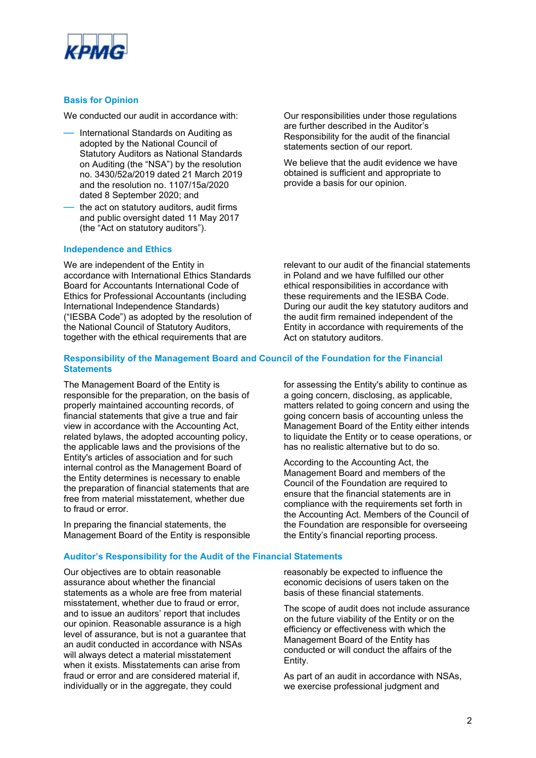

#### **Basis for Opinion**

We conducted our audit in accordance with:

- International Standards on Auditing as adopted by the National Council of Statutory Auditors as National Standards on Auditing (the "NSA") by the resolution no. 3430/52a/2019 dated 21 March 2019 and the resolution no. 1107/15a/2020 dated 8 September 2020; and
- the act on statutory auditors, audit firms and public oversight dated 11 May 2017 (the "Act on statutory auditors").

#### **Independence and Ethics**

We are independent of the Entity in accordance with International Ethics Standards Board for Accountants International Code of Ethics for Professional Accountants (including International Independence Standards) ("IESBA Code") as adopted by the resolution of the National Council of Statutory Auditors, together with the ethical requirements that are

Our responsibilities under those regulations are further described in the Auditor's Responsibility for the audit of the financial statements section of our report.

We believe that the audit evidence we have obtained is sufficient and appropriate to provide a basis for our opinion.

relevant to our audit of the financial statements in Poland and we have fulfilled our other ethical responsibilities in accordance with these requirements and the IESBA Code. During our audit the key statutory auditors and the audit firm remained independent of the Entity in accordance with requirements of the Act on statutory auditors.

#### **Responsibility of the Management Board and Council of the Foundation for the Financial Statements**

The Management Board of the Entity is responsible for the preparation, on the basis of properly maintained accounting records, of financial statements that give a true and fair view in accordance with the Accounting Act, related bylaws, the adopted accounting policy, the applicable laws and the provisions of the Entity's articles of association and for such internal control as the Management Board of the Entity determines is necessary to enable the preparation of financial statements that are free from material misstatement, whether due to fraud or error.

In preparing the financial statements, the Management Board of the Entity is responsible

### **Auditor's Responsibility for the Audit of the Financial Statements**

Our objectives are to obtain reasonable assurance about whether the financial statements as a whole are free from material misstatement, whether due to fraud or error, and to issue an auditors' report that includes our opinion. Reasonable assurance is a high level of assurance, but is not a guarantee that an audit conducted in accordance with NSAs will always detect a material misstatement when it exists. Misstatements can arise from fraud or error and are considered material if, individually or in the aggregate, they could

for assessing the Entity's ability to continue as a going concern, disclosing, as applicable, matters related to going concern and using the going concern basis of accounting unless the Management Board of the Entity either intends to liquidate the Entity or to cease operations, or has no realistic alternative but to do so.

According to the Accounting Act, the Management Board and members of the Council of the Foundation are required to ensure that the financial statements are in compliance with the requirements set forth in the Accounting Act. Members of the Council of the Foundation are responsible for overseeing the Entity's financial reporting process.

reasonably be expected to influence the economic decisions of users taken on the basis of these financial statements.

The scope of audit does not include assurance on the future viability of the Entity or on the efficiency or effectiveness with which the Management Board of the Entity has conducted or will conduct the affairs of the Entity.

As part of an audit in accordance with NSAs, we exercise professional judgment and